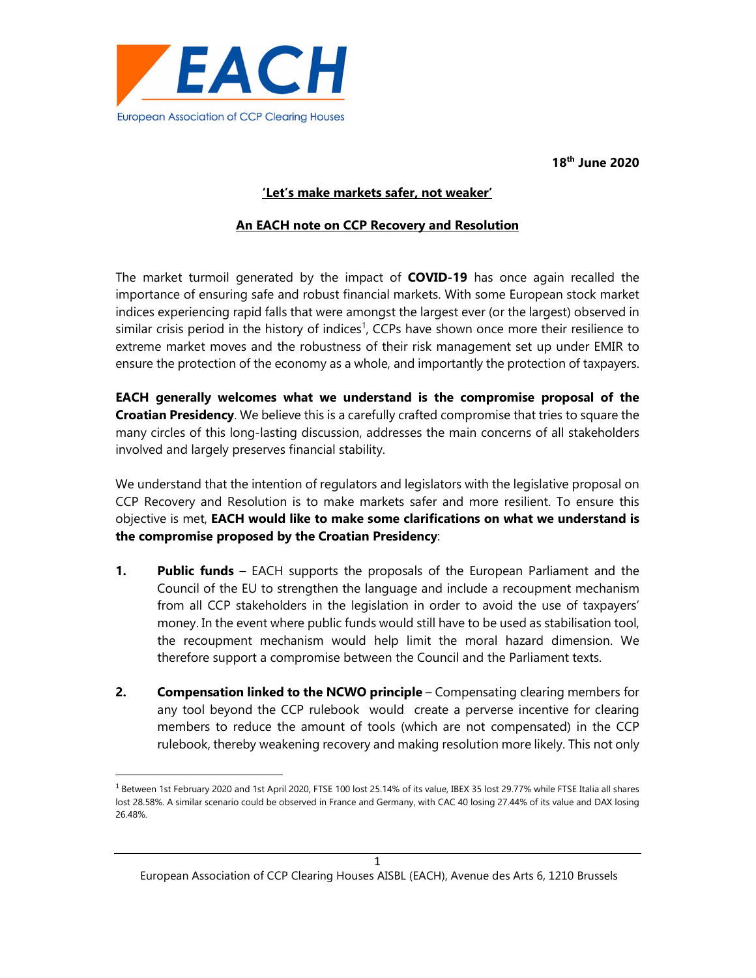

18th June 2020

## 'Let's make markets safer, not weaker'

## An EACH note on CCP Recovery and Resolution

The market turmoil generated by the impact of COVID-19 has once again recalled the importance of ensuring safe and robust financial markets. With some European stock market indices experiencing rapid falls that were amongst the largest ever (or the largest) observed in similar crisis period in the history of indices<sup>1</sup>, CCPs have shown once more their resilience to extreme market moves and the robustness of their risk management set up under EMIR to ensure the protection of the economy as a whole, and importantly the protection of taxpayers.

EACH generally welcomes what we understand is the compromise proposal of the Croatian Presidency. We believe this is a carefully crafted compromise that tries to square the many circles of this long-lasting discussion, addresses the main concerns of all stakeholders involved and largely preserves financial stability.

We understand that the intention of regulators and legislators with the legislative proposal on CCP Recovery and Resolution is to make markets safer and more resilient. To ensure this objective is met, EACH would like to make some clarifications on what we understand is the compromise proposed by the Croatian Presidency:

- **1.** Public funds EACH supports the proposals of the European Parliament and the Council of the EU to strengthen the language and include a recoupment mechanism from all CCP stakeholders in the legislation in order to avoid the use of taxpayers' money. In the event where public funds would still have to be used as stabilisation tool, the recoupment mechanism would help limit the moral hazard dimension. We therefore support a compromise between the Council and the Parliament texts.
- 2. Compensation linked to the NCWO principle Compensating clearing members for any tool beyond the CCP rulebook would create a perverse incentive for clearing members to reduce the amount of tools (which are not compensated) in the CCP rulebook, thereby weakening recovery and making resolution more likely. This not only

 $^1$  Between 1st February 2020 and 1st April 2020, FTSE 100 lost 25.14% of its value, IBEX 35 lost 29.77% while FTSE Italia all shares lost 28.58%. A similar scenario could be observed in France and Germany, with CAC 40 losing 27.44% of its value and DAX losing 26.48%.

<sup>1</sup> European Association of CCP Clearing Houses AISBL (EACH), Avenue des Arts 6, 1210 Brussels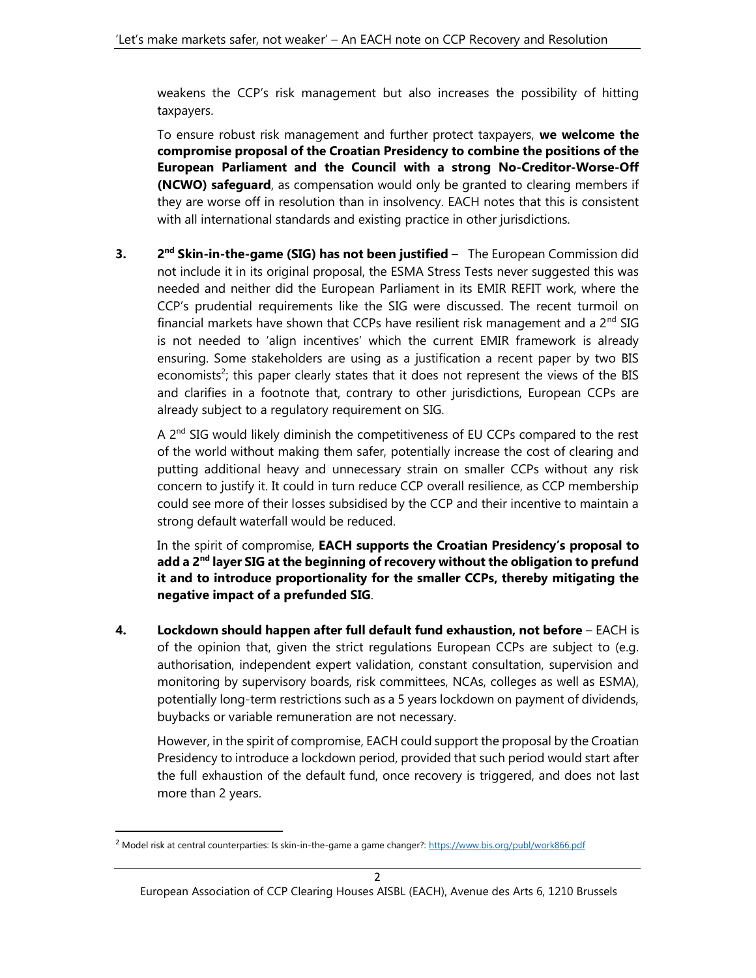weakens the CCP's risk management but also increases the possibility of hitting taxpayers.

To ensure robust risk management and further protect taxpayers, we welcome the compromise proposal of the Croatian Presidency to combine the positions of the European Parliament and the Council with a strong No-Creditor-Worse-Off (NCWO) safeguard, as compensation would only be granted to clearing members if they are worse off in resolution than in insolvency. EACH notes that this is consistent with all international standards and existing practice in other jurisdictions.

 $3.$  $2<sup>nd</sup>$  Skin-in-the-game (SIG) has not been justified – The European Commission did not include it in its original proposal, the ESMA Stress Tests never suggested this was needed and neither did the European Parliament in its EMIR REFIT work, where the CCP's prudential requirements like the SIG were discussed. The recent turmoil on financial markets have shown that CCPs have resilient risk management and a 2<sup>nd</sup> SIG is not needed to 'align incentives' which the current EMIR framework is already ensuring. Some stakeholders are using as a justification a recent paper by two BIS economists<sup>2</sup>; this paper clearly states that it does not represent the views of the BIS and clarifies in a footnote that, contrary to other jurisdictions, European CCPs are already subject to a regulatory requirement on SIG.

A 2<sup>nd</sup> SIG would likely diminish the competitiveness of EU CCPs compared to the rest of the world without making them safer, potentially increase the cost of clearing and putting additional heavy and unnecessary strain on smaller CCPs without any risk concern to justify it. It could in turn reduce CCP overall resilience, as CCP membership could see more of their losses subsidised by the CCP and their incentive to maintain a strong default waterfall would be reduced.

In the spirit of compromise, EACH supports the Croatian Presidency's proposal to add a 2<sup>nd</sup> layer SIG at the beginning of recovery without the obligation to prefund it and to introduce proportionality for the smaller CCPs, thereby mitigating the negative impact of a prefunded SIG.

4. Lockdown should happen after full default fund exhaustion, not before - EACH is of the opinion that, given the strict regulations European CCPs are subject to (e.g. authorisation, independent expert validation, constant consultation, supervision and monitoring by supervisory boards, risk committees, NCAs, colleges as well as ESMA), potentially long-term restrictions such as a 5 years lockdown on payment of dividends, buybacks or variable remuneration are not necessary.

However, in the spirit of compromise, EACH could support the proposal by the Croatian Presidency to introduce a lockdown period, provided that such period would start after the full exhaustion of the default fund, once recovery is triggered, and does not last more than 2 years.

<sup>&</sup>lt;sup>2</sup> Model risk at central counterparties: Is skin-in-the-game a game changer?: https://www.bis.org/publ/work866.pdf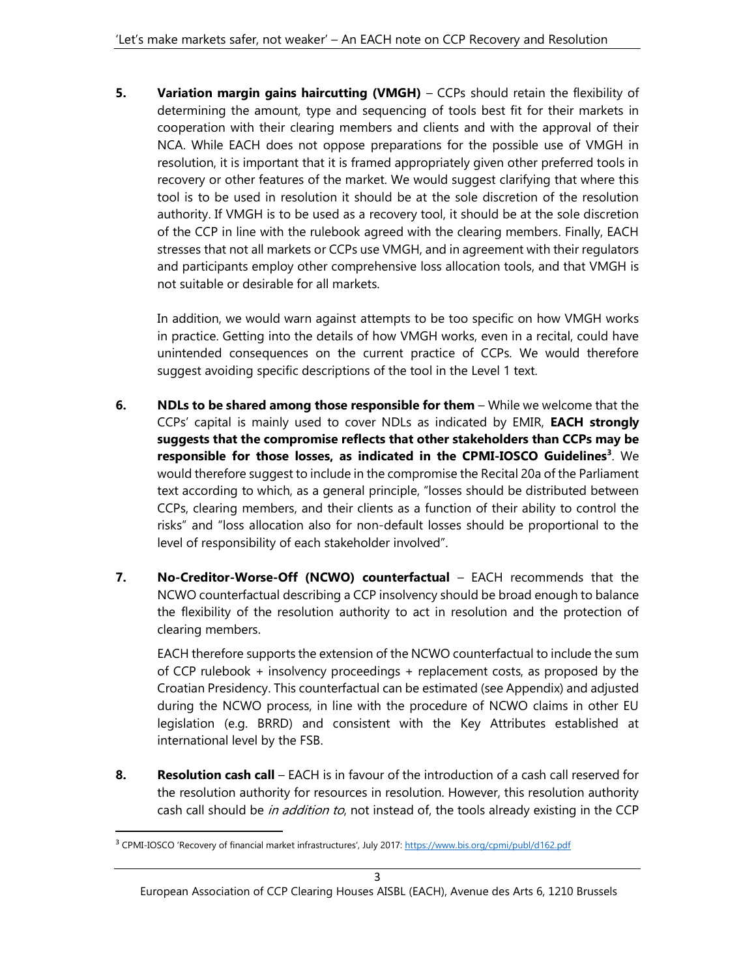5. Variation margin gains haircutting (VMGH) – CCPs should retain the flexibility of determining the amount, type and sequencing of tools best fit for their markets in cooperation with their clearing members and clients and with the approval of their NCA. While EACH does not oppose preparations for the possible use of VMGH in resolution, it is important that it is framed appropriately given other preferred tools in recovery or other features of the market. We would suggest clarifying that where this tool is to be used in resolution it should be at the sole discretion of the resolution authority. If VMGH is to be used as a recovery tool, it should be at the sole discretion of the CCP in line with the rulebook agreed with the clearing members. Finally, EACH stresses that not all markets or CCPs use VMGH, and in agreement with their regulators and participants employ other comprehensive loss allocation tools, and that VMGH is not suitable or desirable for all markets.

In addition, we would warn against attempts to be too specific on how VMGH works in practice. Getting into the details of how VMGH works, even in a recital, could have unintended consequences on the current practice of CCPs. We would therefore suggest avoiding specific descriptions of the tool in the Level 1 text.

- 6. NDLs to be shared among those responsible for them  $-$  While we welcome that the CCPs' capital is mainly used to cover NDLs as indicated by EMIR, EACH strongly suggests that the compromise reflects that other stakeholders than CCPs may be responsible for those losses, as indicated in the CPMI-IOSCO Guidelines<sup>3</sup>. We would therefore suggest to include in the compromise the Recital 20a of the Parliament text according to which, as a general principle, "losses should be distributed between CCPs, clearing members, and their clients as a function of their ability to control the risks" and "loss allocation also for non-default losses should be proportional to the level of responsibility of each stakeholder involved".
- 7. No-Creditor-Worse-Off (NCWO) counterfactual EACH recommends that the NCWO counterfactual describing a CCP insolvency should be broad enough to balance the flexibility of the resolution authority to act in resolution and the protection of clearing members.

EACH therefore supports the extension of the NCWO counterfactual to include the sum of CCP rulebook + insolvency proceedings + replacement costs, as proposed by the Croatian Presidency. This counterfactual can be estimated (see Appendix) and adjusted during the NCWO process, in line with the procedure of NCWO claims in other EU legislation (e.g. BRRD) and consistent with the Key Attributes established at international level by the FSB.

8. Resolution cash call – EACH is in favour of the introduction of a cash call reserved for the resolution authority for resources in resolution. However, this resolution authority cash call should be in addition to, not instead of, the tools already existing in the CCP

European Association of CCP Clearing Houses AISBL (EACH), Avenue des Arts 6, 1210 Brussels

<sup>&</sup>lt;sup>3</sup> CPMI-IOSCO 'Recovery of financial market infrastructures', July 2017: https://www.bis.org/cpmi/publ/d162.pdf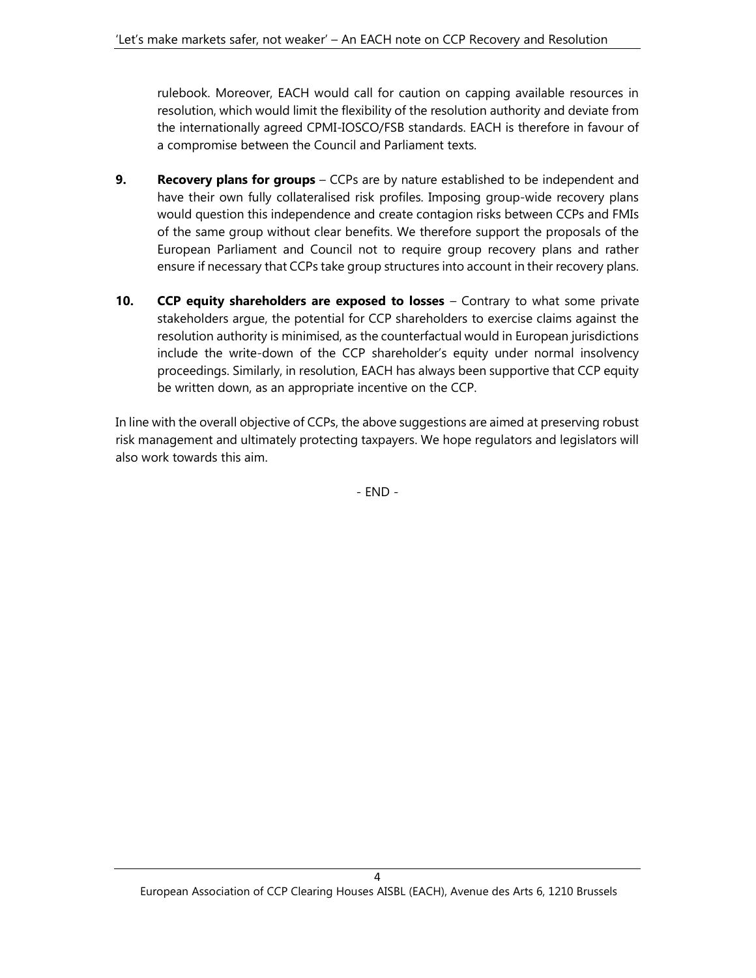rulebook. Moreover, EACH would call for caution on capping available resources in resolution, which would limit the flexibility of the resolution authority and deviate from the internationally agreed CPMI-IOSCO/FSB standards. EACH is therefore in favour of a compromise between the Council and Parliament texts.

- 9. Recovery plans for groups CCPs are by nature established to be independent and have their own fully collateralised risk profiles. Imposing group-wide recovery plans would question this independence and create contagion risks between CCPs and FMIs of the same group without clear benefits. We therefore support the proposals of the European Parliament and Council not to require group recovery plans and rather ensure if necessary that CCPs take group structures into account in their recovery plans.
- 10. CCP equity shareholders are exposed to losses Contrary to what some private stakeholders argue, the potential for CCP shareholders to exercise claims against the resolution authority is minimised, as the counterfactual would in European jurisdictions include the write-down of the CCP shareholder's equity under normal insolvency proceedings. Similarly, in resolution, EACH has always been supportive that CCP equity be written down, as an appropriate incentive on the CCP.

In line with the overall objective of CCPs, the above suggestions are aimed at preserving robust risk management and ultimately protecting taxpayers. We hope regulators and legislators will also work towards this aim.

- END -